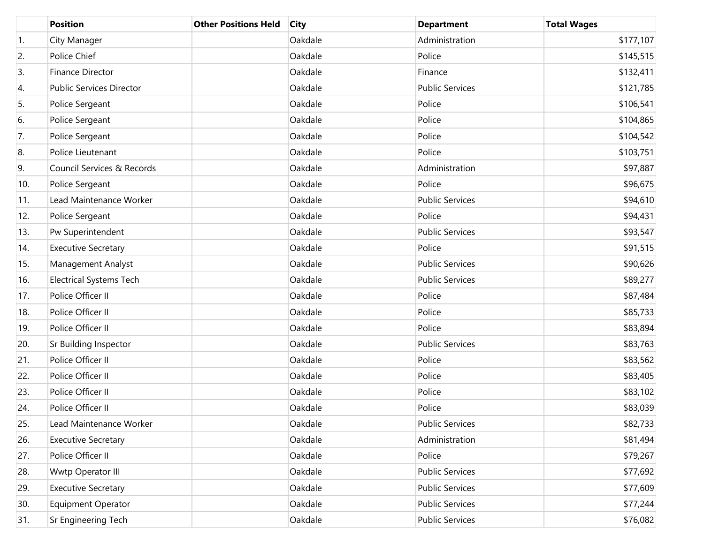|     | <b>Position</b>                 | <b>Other Positions Held</b> | <b>City</b> | <b>Department</b>      | <b>Total Wages</b> |
|-----|---------------------------------|-----------------------------|-------------|------------------------|--------------------|
| 1.  | City Manager                    |                             | Oakdale     | Administration         | \$177,107          |
| 2.  | Police Chief                    |                             | Oakdale     | Police                 | \$145,515          |
| 3.  | Finance Director                |                             | Oakdale     | Finance                | \$132,411          |
| 4.  | <b>Public Services Director</b> |                             | Oakdale     | <b>Public Services</b> | \$121,785          |
| 5.  | Police Sergeant                 |                             | Oakdale     | Police                 | \$106,541          |
| 6.  | Police Sergeant                 |                             | Oakdale     | Police                 | \$104,865          |
| 7.  | Police Sergeant                 |                             | Oakdale     | Police                 | \$104,542          |
| 8.  | Police Lieutenant               |                             | Oakdale     | Police                 | \$103,751          |
| 9.  | Council Services & Records      |                             | Oakdale     | Administration         | \$97,887           |
| 10. | Police Sergeant                 |                             | Oakdale     | Police                 | \$96,675           |
| 11. | Lead Maintenance Worker         |                             | Oakdale     | <b>Public Services</b> | \$94,610           |
| 12. | Police Sergeant                 |                             | Oakdale     | Police                 | \$94,431           |
| 13. | Pw Superintendent               |                             | Oakdale     | <b>Public Services</b> | \$93,547           |
| 14. | <b>Executive Secretary</b>      |                             | Oakdale     | Police                 | \$91,515           |
| 15. | Management Analyst              |                             | Oakdale     | <b>Public Services</b> | \$90,626           |
| 16. | <b>Electrical Systems Tech</b>  |                             | Oakdale     | <b>Public Services</b> | \$89,277           |
| 17. | Police Officer II               |                             | Oakdale     | Police                 | \$87,484           |
| 18. | Police Officer II               |                             | Oakdale     | Police                 | \$85,733           |
| 19. | Police Officer II               |                             | Oakdale     | Police                 | \$83,894           |
| 20. | Sr Building Inspector           |                             | Oakdale     | <b>Public Services</b> | \$83,763           |
| 21. | Police Officer II               |                             | Oakdale     | Police                 | \$83,562           |
| 22. | Police Officer II               |                             | Oakdale     | Police                 | \$83,405           |
| 23. | Police Officer II               |                             | Oakdale     | Police                 | \$83,102           |
| 24. | Police Officer II               |                             | Oakdale     | Police                 | \$83,039           |
| 25. | Lead Maintenance Worker         |                             | Oakdale     | <b>Public Services</b> | \$82,733           |
| 26. | <b>Executive Secretary</b>      |                             | Oakdale     | Administration         | \$81,494           |
| 27. | Police Officer II               |                             | Oakdale     | Police                 | \$79,267           |
| 28. | Wwtp Operator III               |                             | Oakdale     | <b>Public Services</b> | \$77,692           |
| 29. | <b>Executive Secretary</b>      |                             | Oakdale     | <b>Public Services</b> | \$77,609           |
| 30. | Equipment Operator              |                             | Oakdale     | <b>Public Services</b> | \$77,244           |
| 31. | Sr Engineering Tech             |                             | Oakdale     | <b>Public Services</b> | \$76,082           |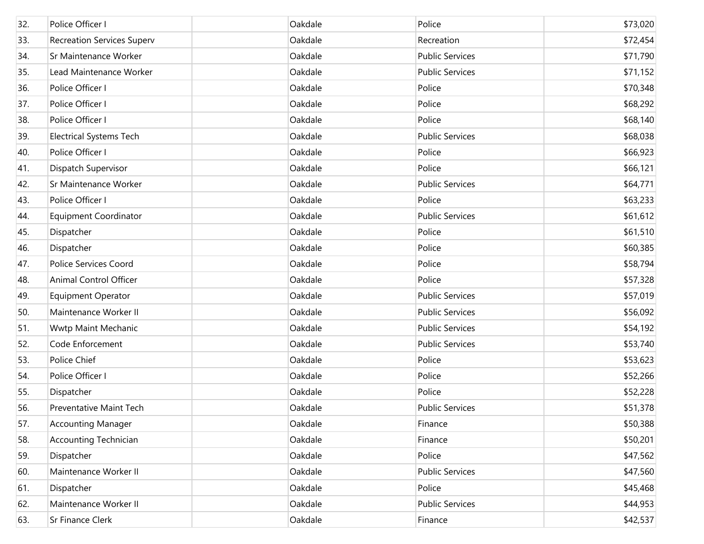| 32. | Police Officer I                  | Oakdale | Police                 | \$73,020 |
|-----|-----------------------------------|---------|------------------------|----------|
| 33. | <b>Recreation Services Superv</b> | Oakdale | Recreation             | \$72,454 |
| 34. | Sr Maintenance Worker             | Oakdale | <b>Public Services</b> | \$71,790 |
| 35. | Lead Maintenance Worker           | Oakdale | <b>Public Services</b> | \$71,152 |
| 36. | Police Officer I                  | Oakdale | Police                 | \$70,348 |
| 37. | Police Officer I                  | Oakdale | Police                 | \$68,292 |
| 38. | Police Officer I                  | Oakdale | Police                 | \$68,140 |
| 39. | <b>Electrical Systems Tech</b>    | Oakdale | <b>Public Services</b> | \$68,038 |
| 40. | Police Officer I                  | Oakdale | Police                 | \$66,923 |
| 41. | Dispatch Supervisor               | Oakdale | Police                 | \$66,121 |
| 42. | Sr Maintenance Worker             | Oakdale | <b>Public Services</b> | \$64,771 |
| 43. | Police Officer I                  | Oakdale | Police                 | \$63,233 |
| 44. | <b>Equipment Coordinator</b>      | Oakdale | <b>Public Services</b> | \$61,612 |
| 45. | Dispatcher                        | Oakdale | Police                 | \$61,510 |
| 46. | Dispatcher                        | Oakdale | Police                 | \$60,385 |
| 47. | <b>Police Services Coord</b>      | Oakdale | Police                 | \$58,794 |
| 48. | Animal Control Officer            | Oakdale | Police                 | \$57,328 |
| 49. | <b>Equipment Operator</b>         | Oakdale | <b>Public Services</b> | \$57,019 |
| 50. | Maintenance Worker II             | Oakdale | <b>Public Services</b> | \$56,092 |
| 51. | Wwtp Maint Mechanic               | Oakdale | <b>Public Services</b> | \$54,192 |
| 52. | Code Enforcement                  | Oakdale | <b>Public Services</b> | \$53,740 |
| 53. | Police Chief                      | Oakdale | Police                 | \$53,623 |
| 54. | Police Officer I                  | Oakdale | Police                 | \$52,266 |
| 55. | Dispatcher                        | Oakdale | Police                 | \$52,228 |
| 56. | <b>Preventative Maint Tech</b>    | Oakdale | <b>Public Services</b> | \$51,378 |
| 57. | <b>Accounting Manager</b>         | Oakdale | Finance                | \$50,388 |
| 58. | <b>Accounting Technician</b>      | Oakdale | Finance                | \$50,201 |
| 59. | Dispatcher                        | Oakdale | Police                 | \$47,562 |
| 60. | Maintenance Worker II             | Oakdale | <b>Public Services</b> | \$47,560 |
| 61. | Dispatcher                        | Oakdale | Police                 | \$45,468 |
| 62. | Maintenance Worker II             | Oakdale | <b>Public Services</b> | \$44,953 |
| 63. | Sr Finance Clerk                  | Oakdale | Finance                | \$42,537 |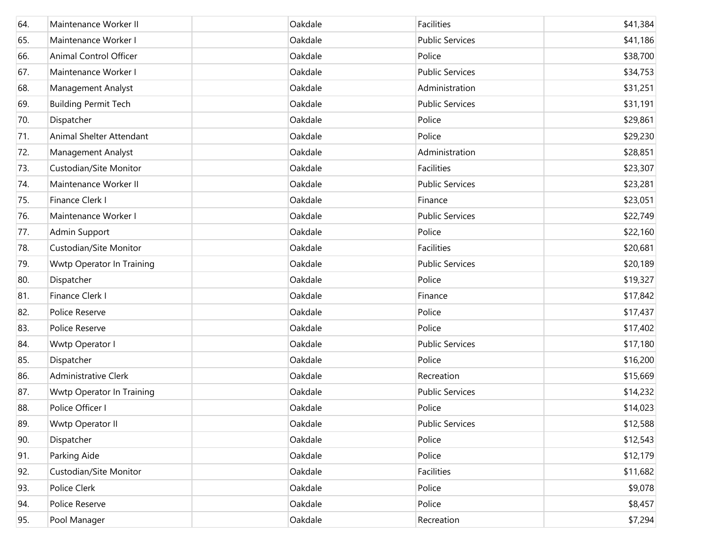| 64. | Maintenance Worker II       | Oakdale | Facilities             | \$41,384 |
|-----|-----------------------------|---------|------------------------|----------|
| 65. | Maintenance Worker I        | Oakdale | <b>Public Services</b> | \$41,186 |
| 66. | Animal Control Officer      | Oakdale | Police                 | \$38,700 |
| 67. | Maintenance Worker I        | Oakdale | <b>Public Services</b> | \$34,753 |
| 68. | Management Analyst          | Oakdale | Administration         | \$31,251 |
| 69. | <b>Building Permit Tech</b> | Oakdale | <b>Public Services</b> | \$31,191 |
| 70. | Dispatcher                  | Oakdale | Police                 | \$29,861 |
| 71. | Animal Shelter Attendant    | Oakdale | Police                 | \$29,230 |
| 72. | Management Analyst          | Oakdale | Administration         | \$28,851 |
| 73. | Custodian/Site Monitor      | Oakdale | Facilities             | \$23,307 |
| 74. | Maintenance Worker II       | Oakdale | <b>Public Services</b> | \$23,281 |
| 75. | Finance Clerk I             | Oakdale | Finance                | \$23,051 |
| 76. | Maintenance Worker I        | Oakdale | <b>Public Services</b> | \$22,749 |
| 77. | Admin Support               | Oakdale | Police                 | \$22,160 |
| 78. | Custodian/Site Monitor      | Oakdale | Facilities             | \$20,681 |
| 79. | Wwtp Operator In Training   | Oakdale | <b>Public Services</b> | \$20,189 |
| 80. | Dispatcher                  | Oakdale | Police                 | \$19,327 |
| 81. | Finance Clerk I             | Oakdale | Finance                | \$17,842 |
| 82. | Police Reserve              | Oakdale | Police                 | \$17,437 |
| 83. | Police Reserve              | Oakdale | Police                 | \$17,402 |
| 84. | Wwtp Operator I             | Oakdale | <b>Public Services</b> | \$17,180 |
| 85. | Dispatcher                  | Oakdale | Police                 | \$16,200 |
| 86. | Administrative Clerk        | Oakdale | Recreation             | \$15,669 |
| 87. | Wwtp Operator In Training   | Oakdale | <b>Public Services</b> | \$14,232 |
| 88. | Police Officer I            | Oakdale | Police                 | \$14,023 |
| 89. | Wwtp Operator II            | Oakdale | <b>Public Services</b> | \$12,588 |
| 90. | Dispatcher                  | Oakdale | Police                 | \$12,543 |
| 91. | Parking Aide                | Oakdale | Police                 | \$12,179 |
| 92. | Custodian/Site Monitor      | Oakdale | Facilities             | \$11,682 |
| 93. | Police Clerk                | Oakdale | Police                 | \$9,078  |
| 94. | Police Reserve              | Oakdale | Police                 | \$8,457  |
| 95. | Pool Manager                | Oakdale | Recreation             | \$7,294  |